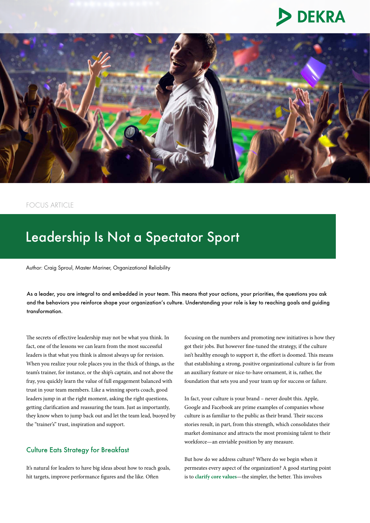



# FOCUS ARTICLE

# Leadership Is Not a Spectator Sport

Author: Craig Sproul, Master Mariner, Organizational Reliability

As a leader, you are integral to and embedded in your team. This means that your actions, your priorities, the questions you ask and the behaviors you reinforce shape your organization's culture. Understanding your role is key to reaching goals and guiding transformation.

The secrets of effective leadership may not be what you think. In fact, one of the lessons we can learn from the most successful leaders is that what you think is almost always up for revision. When you realize your role places you in the thick of things, as the team's trainer, for instance, or the ship's captain, and not above the fray, you quickly learn the value of full engagement balanced with trust in your team members. Like a winning sports coach, good leaders jump in at the right moment, asking the right questions, getting clarification and reassuring the team. Just as importantly, they know when to jump back out and let the team lead, buoyed by the "trainer's" trust, inspiration and support.

# Culture Eats Strategy for Breakfast

It's natural for leaders to have big ideas about how to reach goals, hit targets, improve performance figures and the like. Often

focusing on the numbers and promoting new initiatives is how they got their jobs. But however fine-tuned the strategy, if the culture isn't healthy enough to support it, the effort is doomed. This means that establishing a strong, positive organizational culture is far from an auxiliary feature or nice-to-have ornament, it is, rather, the foundation that sets you and your team up for success or failure.

In fact, your culture is your brand – never doubt this. Apple, Google and Facebook are prime examples of companies whose culture is as familiar to the public as their brand. Their success stories result, in part, from this strength, which consolidates their market dominance and attracts the most promising talent to their workforce—an enviable position by any measure.

But how do we address culture? Where do we begin when it permeates every aspect of the organization? A good starting point is to **[clarify core values](https://www.dekra-uk.co.uk/en/values-visioning-workshop/)**—the simpler, the better. This involves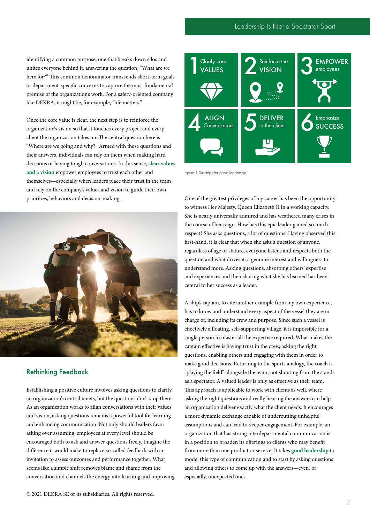identifying a common purpose, one that breaks down silos and unites everyone behind it, answering the question, "What are we here for?" This common denominator transcends short-term goals or department-specific concerns to capture the most fundamental premise of the organization's work. For a safety-oriented company like DEKRA, it might be, for example, "life matters."

Once the core value is clear, the next step is to reinforce the organization's vision so that it touches every project and every client the organization takes on. The central question here is "Where are we going and why?" Armed with these questions and their answers, individuals can rely on them when making hard decisions or having tough conversations. In this sense, **[clear values](https://www.dekra-uk.co.uk/en/values-visioning-workshop/)  [and a vision](https://www.dekra-uk.co.uk/en/values-visioning-workshop/)** empower employees to trust each other and themselves—especially when leaders place their trust in the team and rely on the company's values and vision to guide their own priorities, behaviors and decision-making.



### Rethinking Feedback

Establishing a positive culture involves asking questions to clarify an organization's central tenets, but the questions don't stop there. As an organization works to align conversations with their values and vision, asking questions remains a powerful tool for learning and enhancing communication. Not only should leaders favor asking over assuming, employees at every level should be encouraged both to ask and answer questions freely. Imagine the difference it would make to replace so-called feedback with an invitation to assess outcomes and performance together. What seems like a simple shift removes blame and shame from the conversation and channels the energy into learning and improving.



Figure 1 Six steps for good leadership

One of the greatest privileges of my career has been the opportunity to witness Her Majesty, Queen Elizabeth II in a working capacity. She is nearly universally admired and has weathered many crises in the course of her reign. How has this epic leader gained so much respect? She asks questions, a lot of questions! Having observed this first-hand, it is clear that when she asks a question of anyone, regardless of age or stature, everyone listens and respects both the question and what drives it: a genuine interest and willingness to understand more. Asking questions, absorbing others' expertise and experiences and then sharing what she has learned has been central to her success as a leader.

A ship's captain, to cite another example from my own experience, has to know and understand every aspect of the vessel they are in charge of, including its crew and purpose. Since such a vessel is effectively a floating, self-supporting village, it is impossible for a single person to master all the expertise required. What makes the captain effective is having trust in the crew, asking the right questions, enabling others and engaging with them in order to make good decisions. Returning to the sports analogy, the coach is "playing the field" alongside the team, not shouting from the stands as a spectator. A valued leader is only as effective as their team. This approach is applicable to work with clients as well, where asking the right questions and really hearing the answers can help an organization deliver exactly what the client needs. It encourages a more dynamic exchange capable of undercutting unhelpful assumptions and can lead to deeper engagement. For example, an organization that has strong interdepartmental communication is in a position to broaden its offerings to clients who may benefit from more than one product or service. It takes **[good leadership](https://www.dekra-uk.co.uk/en/leadership-coaching/)** to model this type of communication and to start by asking questions and allowing others to come up with the answers—even, or especially, unexpected ones.